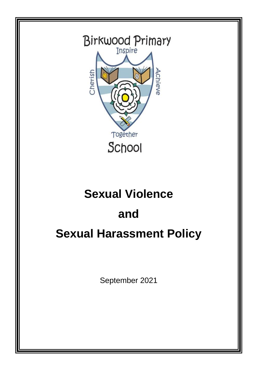

# **Sexual Violence**

## **and**

## **Sexual Harassment Policy**

September 2021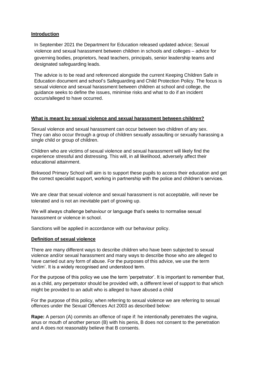#### **Introduction**

In September 2021 the Department for Education released updated advice; Sexual violence and sexual harassment between children in schools and colleges – advice for governing bodies, proprietors, head teachers, principals, senior leadership teams and designated safeguarding leads.

The advice is to be read and referenced alongside the current Keeping Children Safe in Education document and school's Safeguarding and Child Protection Policy. The focus is sexual violence and sexual harassment between children at school and college, the guidance seeks to define the issues, minimise risks and what to do if an incident occurs/alleged to have occurred.

#### **What is meant by sexual violence and sexual harassment between children?**

Sexual violence and sexual harassment can occur between two children of any sex. They can also occur through a group of children sexually assaulting or sexually harassing a single child or group of children.

Children who are victims of sexual violence and sexual harassment will likely find the experience stressful and distressing. This will, in all likelihood, adversely affect their educational attainment.

Birkwood Primary School will aim is to support these pupils to access their education and get the correct specialist support, working in partnership with the police and children's services.

We are clear that sexual violence and sexual harassment is not acceptable, will never be tolerated and is not an inevitable part of growing up.

We will always challenge behaviour or language that's seeks to normalise sexual harassment or violence in school.

Sanctions will be applied in accordance with our behaviour policy.

## **Definition of sexual violence**

There are many different ways to describe children who have been subjected to sexual violence and/or sexual harassment and many ways to describe those who are alleged to have carried out any form of abuse. For the purposes of this advice, we use the term 'victim'. It is a widely recognised and understood term.

For the purpose of this policy we use the term 'perpetrator'. It is important to remember that, as a child, any perpetrator should be provided with, a different level of support to that which might be provided to an adult who is alleged to have abused a child

For the purpose of this policy, when referring to sexual violence we are referring to sexual offences under the Sexual Offences Act 2003 as described below:

**Rape:** A person (A) commits an offence of rape if: he intentionally penetrates the vagina, anus or mouth of another person (B) with his penis, B does not consent to the penetration and A does not reasonably believe that B consents.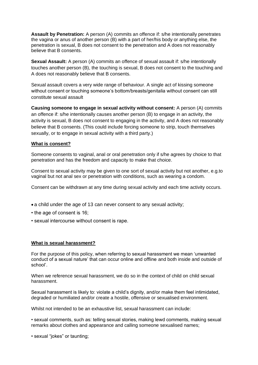**Assault by Penetration:** A person (A) commits an offence if: s/he intentionally penetrates the vagina or anus of another person (B) with a part of her/his body or anything else, the penetration is sexual, B does not consent to the penetration and A does not reasonably believe that B consents.

**Sexual Assault:** A person (A) commits an offence of sexual assault if: s/he intentionally touches another person (B), the touching is sexual, B does not consent to the touching and A does not reasonably believe that B consents.

Sexual assault covers a very wide range of behaviour. A single act of kissing someone without consent or touching someone's bottom/breasts/genitalia without consent can still constitute sexual assault

**Causing someone to engage in sexual activity without consent:** A person (A) commits an offence if: s/he intentionally causes another person (B) to engage in an activity, the activity is sexual, B does not consent to engaging in the activity, and A does not reasonably believe that B consents. (This could include forcing someone to strip, touch themselves sexually, or to engage in sexual activity with a third party.)

#### **What is consent?**

Someone consents to vaginal, anal or oral penetration only if s/he agrees by choice to that penetration and has the freedom and capacity to make that choice.

Consent to sexual activity may be given to one sort of sexual activity but not another, e.g.to vaginal but not anal sex or penetration with conditions, such as wearing a condom.

Consent can be withdrawn at any time during sexual activity and each time activity occurs.

- a child under the age of 13 can never consent to any sexual activity;
- the age of consent is 16;
- sexual intercourse without consent is rape.

#### **What is sexual harassment?**

For the purpose of this policy, when referring to sexual harassment we mean 'unwanted conduct of a sexual nature' that can occur online and offline and both inside and outside of school'.

When we reference sexual harassment, we do so in the context of child on child sexual harassment.

Sexual harassment is likely to: violate a child's dignity, and/or make them feel intimidated, degraded or humiliated and/or create a hostile, offensive or sexualised environment.

Whilst not intended to be an exhaustive list, sexual harassment can include:

• sexual comments, such as: telling sexual stories, making lewd comments, making sexual remarks about clothes and appearance and calling someone sexualised names;

• sexual "jokes" or taunting;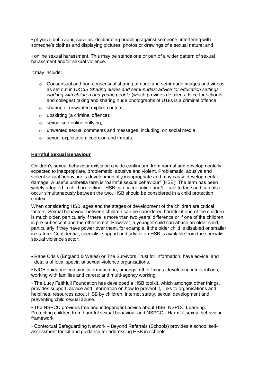• physical behaviour, such as: deliberating brushing against someone, interfering with someone's clothes and displaying pictures, photos or drawings of a sexual nature; and

• online sexual harassment. This may be standalone or part of a wider pattern of sexual harassment and/or sexual violence.

It may include:

- $\circ$  Consensual and non-consensual sharing of nude and semi-nude images and videos as set out in *UKCIS Sharing nudes and semi-nudes: advice for education settings working with children and young people* (which provides detailed advice for schools and colleges) taking and sharing nude photographs of U18s is a criminal offence;
- o sharing of unwanted explicit content;
- $\circ$  upskirting (a criminal offence);
- o sexualised online bullying;
- o unwanted sexual comments and messages, including, on social media;
- o sexual exploitation; coercion and threats.

#### **Harmful Sexual Behaviour**

Children's sexual behaviour exists on a wide continuum, from normal and developmentally expected to inappropriate, problematic, abusive and violent. Problematic, abusive and violent sexual behaviour is developmentally inappropriate and may cause developmental damage. A useful umbrella term is "harmful sexual behaviour" (HSB). The term has been widely adopted in child protection. HSB can occur online and/or face to face and can also occur simultaneously between the two. HSB should be considered in a child protection context.

When considering HSB, ages and the stages of development of the children are critical factors. Sexual behaviour between children can be considered harmful if one of the children is much older, particularly if there is more than two years' difference or if one of the children is pre-pubescent and the other is not. However, a younger child can abuse an older child, particularly if they have power over them, for example, if the older child is disabled or smaller in stature. Confidential, specialist support and advice on HSB is available from the specialist sexual violence sector:

• Rape Crisis (England & Wales) or The Survivors Trust for information, have advice, and details of local specialist sexual violence organisations.

• NICE guidance contains information on, amongst other things: developing interventions; working with families and carers; and multi-agency working.

• The Lucy Faithfull Foundation has developed a HSB toolkit, which amongst other things, provides support, advice and information on how to prevent it, links to organisations and helplines, resources about HSB by children, internet safety, sexual development and preventing child sexual abuse.

• The NSPCC provides free and independent advice about HSB: NSPCC Learning: Protecting children from harmful sexual behaviour and NSPCC - Harmful sexual behaviour framework

• Contextual Safeguarding Network – Beyond Referrals (Schools) provides a school selfassessment toolkit and guidance for addressing HSB in schools.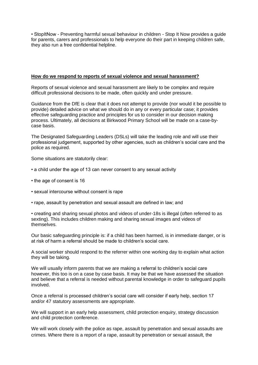• StopItNow - Preventing harmful sexual behaviour in children - Stop It Now provides a guide for parents, carers and professionals to help everyone do their part in keeping children safe, they also run a free confidential helpline.

#### **How do we respond to reports of sexual violence and sexual harassment?**

Reports of sexual violence and sexual harassment are likely to be complex and require difficult professional decisions to be made, often quickly and under pressure.

Guidance from the DfE is clear that it does not attempt to provide (nor would it be possible to provide) detailed advice on what we should do in any or every particular case; it provides effective safeguarding practice and principles for us to consider in our decision making process. Ultimately, all decisions at Birkwood Primary School will be made on a case-bycase basis.

The Designated Safeguarding Leaders (DSLs) will take the leading role and will use their professional judgement, supported by other agencies, such as children's social care and the police as required.

Some situations are statutorily clear:

- a child under the age of 13 can never consent to any sexual activity
- the age of consent is 16
- sexual intercourse without consent is rape
- rape, assault by penetration and sexual assault are defined in law; and

• creating and sharing sexual photos and videos of under-18s is illegal (often referred to as sexting). This includes children making and sharing sexual images and videos of themselves.

Our basic safeguarding principle is: if a child has been harmed, is in immediate danger, or is at risk of harm a referral should be made to children's social care.

A social worker should respond to the referrer within one working day to explain what action they will be taking.

We will usually inform parents that we are making a referral to children's social care however, this too is on a case by case basis. It may be that we have assessed the situation and believe that a referral is needed without parental knowledge in order to safeguard pupils involved.

Once a referral is processed children's social care will consider if early help, section 17 and/or 47 statutory assessments are appropriate.

We will support in an early help assessment, child protection enquiry, strategy discussion and child protection conference.

We will work closely with the police as rape, assault by penetration and sexual assaults are crimes. Where there is a report of a rape, assault by penetration or sexual assault, the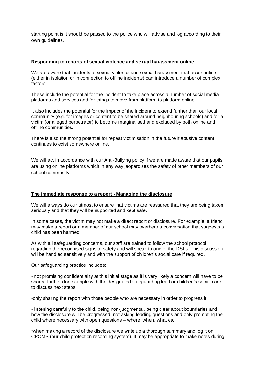starting point is it should be passed to the police who will advise and log according to their own guidelines.

#### **Responding to reports of sexual violence and sexual harassment online**

We are aware that incidents of sexual violence and sexual harassment that occur online (either in isolation or in connection to offline incidents) can introduce a number of complex factors.

These include the potential for the incident to take place across a number of social media platforms and services and for things to move from platform to platform online.

It also includes the potential for the impact of the incident to extend further than our local community (e.g. for images or content to be shared around neighbouring schools) and for a victim (or alleged perpetrator) to become marginalised and excluded by both online and offline communities.

There is also the strong potential for repeat victimisation in the future if abusive content continues to exist somewhere online.

We will act in accordance with our Anti-Bullying policy if we are made aware that our pupils are using online platforms which in any way jeopardises the safety of other members of our school community.

#### **The immediate response to a report - Managing the disclosure**

We will always do our utmost to ensure that victims are reassured that they are being taken seriously and that they will be supported and kept safe.

In some cases, the victim may not make a direct report or disclosure. For example, a friend may make a report or a member of our school may overhear a conversation that suggests a child has been harmed.

As with all safeguarding concerns, our staff are trained to follow the school protocol regarding the recognised signs of safety and will speak to one of the DSLs. This discussion will be handled sensitively and with the support of children's social care if required.

Our safeguarding practice includes:

• not promising confidentiality at this initial stage as it is very likely a concern will have to be shared further (for example with the designated safeguarding lead or children's social care) to discuss next steps.

•only sharing the report with those people who are necessary in order to progress it.

• listening carefully to the child, being non-judgmental, being clear about boundaries and how the disclosure will be progressed, not asking leading questions and only prompting the child where necessary with open questions – where, when, what etc;

•when making a record of the disclosure we write up a thorough summary and log it on CPOMS (our child protection recording system). It may be appropriate to make notes during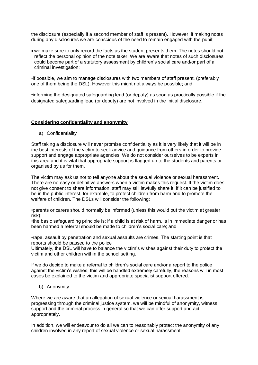the disclosure (especially if a second member of staff is present). However, if making notes during any disclosures we are conscious of the need to remain engaged with the pupil;

• we make sure to only record the facts as the student presents them. The notes should not reflect the personal opinion of the note taker. We are aware that notes of such disclosures could become part of a statutory assessment by children's social care and/or part of a criminal investigation;

•if possible, we aim to manage disclosures with two members of staff present, (preferably one of them being the DSL). However this might not always be possible; and

•informing the designated safeguarding lead (or deputy) as soon as practically possible if the designated safeguarding lead (or deputy) are not involved in the initial disclosure.

#### **Considering confidentiality and anonymity**

a) Confidentiality

Staff taking a disclosure will never promise confidentiality as it is very likely that it will be in the best interests of the victim to seek advice and guidance from others in order to provide support and engage appropriate agencies. We do not consider ourselves to be experts in this area and it is vital that appropriate support is flagged up to the students and parents or organised by us for them.

The victim may ask us not to tell anyone about the sexual violence or sexual harassment. There are no easy or definitive answers when a victim makes this request. If the victim does not give consent to share information, staff may still lawfully share it, if it can be justified to be in the public interest, for example, to protect children from harm and to promote the welfare of children. The DSLs will consider the following:

•parents or carers should normally be informed (unless this would put the victim at greater risk);

•the basic safeguarding principle is: if a child is at risk of harm, is in immediate danger or has been harmed a referral should be made to children's social care; and

•rape, assault by penetration and sexual assaults are crimes. The starting point is that reports should be passed to the police

Ultimately, the DSL will have to balance the victim's wishes against their duty to protect the victim and other children within the school setting.

If we do decide to make a referral to children's social care and/or a report to the police against the victim's wishes, this will be handled extremely carefully, the reasons will in most cases be explained to the victim and appropriate specialist support offered.

b) Anonymity

Where we are aware that an allegation of sexual violence or sexual harassment is progressing through the criminal justice system, we will be mindful of anonymity, witness support and the criminal process in general so that we can offer support and act appropriately.

In addition, we will endeavour to do all we can to reasonably protect the anonymity of any children involved in any report of sexual violence or sexual harassment.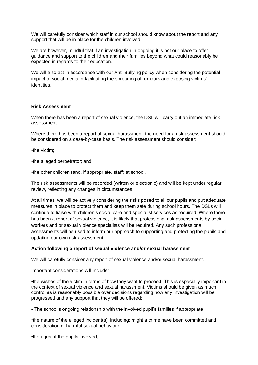We will carefully consider which staff in our school should know about the report and any support that will be in place for the children involved.

We are however, mindful that if an investigation in ongoing it is not our place to offer guidance and support to the children and their families beyond what could reasonably be expected in regards to their education.

We will also act in accordance with our Anti-Bullying policy when considering the potential impact of social media in facilitating the spreading of rumours and exposing victims' identities.

## **Risk Assessment**

When there has been a report of sexual violence, the DSL will carry out an immediate risk assessment.

Where there has been a report of sexual harassment, the need for a risk assessment should be considered on a case-by-case basis. The risk assessment should consider:

•the victim;

•the alleged perpetrator; and

•the other children (and, if appropriate, staff) at school.

The risk assessments will be recorded (written or electronic) and will be kept under regular review, reflecting any changes in circumstances.

At all times, we will be actively considering the risks posed to all our pupils and put adequate measures in place to protect them and keep them safe during school hours. The DSLs will continue to liaise with children's social care and specialist services as required. Where there has been a report of sexual violence, it is likely that professional risk assessments by social workers and or sexual violence specialists will be required. Any such professional assessments will be used to inform our approach to supporting and protecting the pupils and updating our own risk assessment.

#### **Action following a report of sexual violence and/or sexual harassment**

We will carefully consider any report of sexual violence and/or sexual harassment.

Important considerations will include:

•the wishes of the victim in terms of how they want to proceed. This is especially important in the context of sexual violence and sexual harassment. Victims should be given as much control as is reasonably possible over decisions regarding how any investigation will be progressed and any support that they will be offered;

• The school's ongoing relationship with the involved pupil's families if appropriate

•the nature of the alleged incident(s), including: might a crime have been committed and consideration of harmful sexual behaviour;

•the ages of the pupils involved;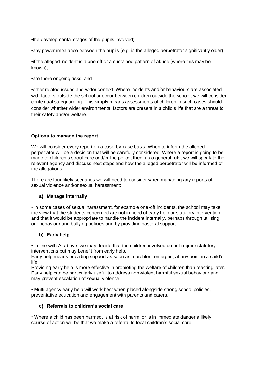•the developmental stages of the pupils involved;

•any power imbalance between the pupils (e.g. is the alleged perpetrator significantly older);

•if the alleged incident is a one off or a sustained pattern of abuse (where this may be known);

•are there ongoing risks; and

•other related issues and wider context. Where incidents and/or behaviours are associated with factors outside the school or occur between children outside the school, we will consider contextual safeguarding. This simply means assessments of children in such cases should consider whether wider environmental factors are present in a child's life that are a threat to their safety and/or welfare.

## **Options to manage the report**

We will consider every report on a case-by-case basis. When to inform the alleged perpetrator will be a decision that will be carefully considered. Where a report is going to be made to children's social care and/or the police, then, as a general rule, we will speak to the relevant agency and discuss next steps and how the alleged perpetrator will be informed of the allegations.

There are four likely scenarios we will need to consider when managing any reports of sexual violence and/or sexual harassment:

## **a) Manage internally**

• In some cases of sexual harassment, for example one-off incidents, the school may take the view that the students concerned are not in need of early help or statutory intervention and that it would be appropriate to handle the incident internally, perhaps through utilising our behaviour and bullying policies and by providing pastoral support.

## **b) Early help**

• In line with A) above, we may decide that the children involved do not require statutory interventions but may benefit from early help.

Early help means providing support as soon as a problem emerges, at any point in a child's life.

Providing early help is more effective in promoting the welfare of children than reacting later. Early help can be particularly useful to address non-violent harmful sexual behaviour and may prevent escalation of sexual violence.

• Multi-agency early help will work best when placed alongside strong school policies, preventative education and engagement with parents and carers.

## **c) Referrals to children's social care**

• Where a child has been harmed, is at risk of harm, or is in immediate danger a likely course of action will be that we make a referral to local children's social care.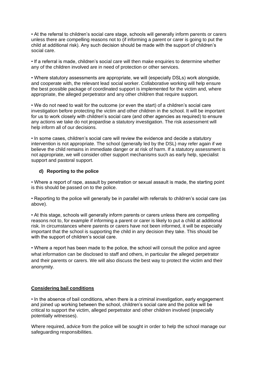• At the referral to children's social care stage, schools will generally inform parents or carers unless there are compelling reasons not to (if informing a parent or carer is going to put the child at additional risk). Any such decision should be made with the support of children's social care.

• If a referral is made, children's social care will then make enquiries to determine whether any of the children involved are in need of protection or other services.

• Where statutory assessments are appropriate, we will (especially DSLs) work alongside, and cooperate with, the relevant lead social worker. Collaborative working will help ensure the best possible package of coordinated support is implemented for the victim and, where appropriate, the alleged perpetrator and any other children that require support.

• We do not need to wait for the outcome (or even the start) of a children's social care investigation before protecting the victim and other children in the school. It will be important for us to work closely with children's social care (and other agencies as required) to ensure any actions we take do not jeopardise a statutory investigation. The risk assessment will help inform all of our decisions.

• In some cases, children's social care will review the evidence and decide a statutory intervention is not appropriate. The school (generally led by the DSL) may refer again if we believe the child remains in immediate danger or at risk of harm. If a statutory assessment is not appropriate, we will consider other support mechanisms such as early help, specialist support and pastoral support.

## **d) Reporting to the police**

• Where a report of rape, assault by penetration or sexual assault is made, the starting point is this should be passed on to the police.

• Reporting to the police will generally be in parallel with referrals to children's social care (as above).

• At this stage, schools will generally inform parents or carers unless there are compelling reasons not to, for example if informing a parent or carer is likely to put a child at additional risk. In circumstances where parents or carers have not been informed, it will be especially important that the school is supporting the child in any decision they take. This should be with the support of children's social care.

• Where a report has been made to the police, the school will consult the police and agree what information can be disclosed to staff and others, in particular the alleged perpetrator and their parents or carers. We will also discuss the best way to protect the victim and their anonymity.

## **Considering bail conditions**

• In the absence of bail conditions, when there is a criminal investigation, early engagement and joined up working between the school, children's social care and the police will be critical to support the victim, alleged perpetrator and other children involved (especially potentially witnesses).

Where required, advice from the police will be sought in order to help the school manage our safeguarding responsibilities.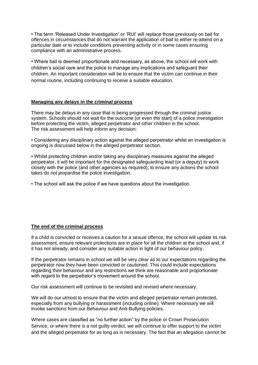• The term 'Released Under Investigation' or 'RUI' will replace those previously on bail for offences in circumstances that do not warrant the application of bail to either re-attend on a particular date or to include conditions preventing activity or in some cases ensuring compliance with an administrative process.

• Where bail is deemed proportionate and necessary, as above, the school will work with children's social care and the police to manage any implications and safeguard their children. An important consideration will be to ensure that the victim can continue in their normal routine, including continuing to receive a suitable education.

#### **Managing any delays in the criminal process**

There may be delays in any case that is being progressed through the criminal justice system. Schools should not wait for the outcome (or even the start) of a police investigation before protecting the victim, alleged perpetrator and other children in the school. The risk assessment will help inform any decision:

• Considering any disciplinary action against the alleged perpetrator whilst an investigation is ongoing is discussed below in the alleged perpetrator section.

• Whilst protecting children and/or taking any disciplinary measures against the alleged perpetrator, it will be important for the designated safeguarding lead (or a deputy) to work closely with the police (and other agencies as required), to ensure any actions the school takes do not jeopardise the police investigation.

• The school will ask the police if we have questions about the investigation.

## **The end of the criminal process**

If a child is convicted or receives a caution for a sexual offence, the school will update its risk assessment, ensure relevant protections are in place for all the children at the school and, if it has not already, and consider any suitable action in light of our behaviour policy.

If the perpetrator remains in school we will be very clear as to our expectations regarding the perpetrator now they have been convicted or cautioned. This could include expectations regarding their behaviour and any restrictions we think are reasonable and proportionate with regard to the perpetrator's movement around the school.

Our risk assessment will continue to be revisited and revised where necessary.

We will do our utmost to ensure that the victim and alleged perpetrator remain protected, especially from any bullying or harassment (including online). Where necessary we will invoke sanctions from our Behaviour and Anti-Bullying policies.

Where cases are classified as "no further action" by the police or Crown Prosecution Service, or where there is a not quilty verdict, we will continue to offer support to the victim and the alleged perpetrator for as long as is necessary. The fact that an allegation cannot be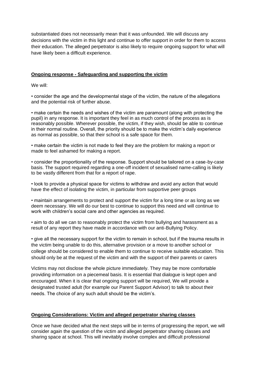substantiated does not necessarily mean that it was unfounded. We will discuss any decisions with the victim in this light and continue to offer support in order for them to access their education. The alleged perpetrator is also likely to require ongoing support for what will have likely been a difficult experience.

## **Ongoing response - Safeguarding and supporting the victim**

We will:

• consider the age and the developmental stage of the victim, the nature of the allegations and the potential risk of further abuse.

• make certain the needs and wishes of the victim are paramount (along with protecting the pupil) in any response. It is important they feel in as much control of the process as is reasonably possible. Wherever possible, the victim, if they wish, should be able to continue in their normal routine. Overall, the priority should be to make the victim's daily experience as normal as possible, so that their school is a safe space for them.

• make certain the victim is not made to feel they are the problem for making a report or made to feel ashamed for making a report.

• consider the proportionality of the response. Support should be tailored on a case-by-case basis. The support required regarding a one-off incident of sexualised name-calling is likely to be vastly different from that for a report of rape.

• look to provide a physical space for victims to withdraw and avoid any action that would have the effect of isolating the victim, in particular from supportive peer groups

• maintain arrangements to protect and support the victim for a long time or as long as we deem necessary. We will do our best to continue to support this need and will continue to work with children's social care and other agencies as required.

• aim to do all we can to reasonably protect the victim from bullying and harassment as a result of any report they have made in accordance with our anti-Bullying Policy.

• give all the necessary support for the victim to remain in school, but if the trauma results in the victim being unable to do this, alternative provision or a move to another school or college should be considered to enable them to continue to receive suitable education. This should only be at the request of the victim and with the support of their parents or carers

Victims may not disclose the whole picture immediately. They may be more comfortable providing information on a piecemeal basis. It is essential that dialogue is kept open and encouraged. When it is clear that ongoing support will be required, We will provide a designated trusted adult (for example our Parent Support Advisor) to talk to about their needs. The choice of any such adult should be the victim's.

## **Ongoing Considerations: Victim and alleged perpetrator sharing classes**

Once we have decided what the next steps will be in terms of progressing the report, we will consider again the question of the victim and alleged perpetrator sharing classes and sharing space at school. This will inevitably involve complex and difficult professional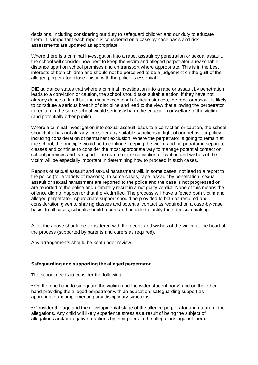decisions, including considering our duty to safeguard children and our duty to educate them. It is important each report is considered on a case-by-case basis and risk assessments are updated as appropriate.

Where there is a criminal investigation into a rape, assault by penetration or sexual assault, the school will consider how best to keep the victim and alleged perpetrator a reasonable distance apart on school premises and on transport where appropriate. This is in the best interests of both children and should not be perceived to be a judgement on the guilt of the alleged perpetrator; close liaison with the police is essential.

DfE guidance states that where a criminal investigation into a rape or assault by penetration leads to a conviction or caution, the school should take suitable action, if they have not already done so. In all but the most exceptional of circumstances, the rape or assault is likely to constitute a serious breach of discipline and lead to the view that allowing the perpetrator to remain in the same school would seriously harm the education or welfare of the victim (and potentially other pupils).

Where a criminal investigation into sexual assault leads to a conviction or caution, the school should, if it has not already, consider any suitable sanctions in light of our behaviour policy, including consideration of permanent exclusion. Where the perpetrator is going to remain at the school, the principle would be to continue keeping the victim and perpetrator in separate classes and continue to consider the most appropriate way to manage potential contact on school premises and transport. The nature of the conviction or caution and wishes of the victim will be especially important in determining how to proceed in such cases.

Reports of sexual assault and sexual harassment will, in some cases, not lead to a report to the police (for a variety of reasons). In some cases, rape, assault by penetration, sexual assault or sexual harassment are reported to the police and the case is not progressed or are reported to the police and ultimately result in a not guilty verdict. None of this means the offence did not happen or that the victim lied. The process will have affected both victim and alleged perpetrator. Appropriate support should be provided to both as required and consideration given to sharing classes and potential contact as required on a case-by-case basis. In all cases, schools should record and be able to justify their decision making.

All of the above should be considered with the needs and wishes of the victim at the heart of the process (supported by parents and carers as required).

Any arrangements should be kept under review.

#### **Safeguarding and supporting the alleged perpetrator**

The school needs to consider the following:

• On the one hand to safeguard the victim (and the wider student body) and on the other hand providing the alleged perpetrator with an education, safeguarding support as appropriate and implementing any disciplinary sanctions.

• Consider the age and the developmental stage of the alleged perpetrator and nature of the allegations. Any child will likely experience stress as a result of being the subject of allegations and/or negative reactions by their peers to the allegations against them.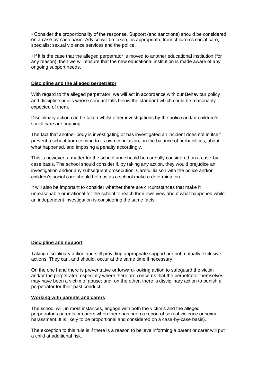• Consider the proportionality of the response. Support (and sanctions) should be considered on a case-by-case basis. Advice will be taken, as appropriate, from children's social care, specialist sexual violence services and the police.

• If it is the case that the alleged perpetrator is moved to another educational institution (for any reason), then we will ensure that the new educational institution is made aware of any ongoing support needs.

## **Discipline and the alleged perpetrator**

With regard to the alleged perpetrator, we will act in accordance with our Behaviour policy and discipline pupils whose conduct falls below the standard which could be reasonably expected of them.

Disciplinary action can be taken whilst other investigations by the police and/or children's social care are ongoing.

The fact that another body is investigating or has investigated an incident does not in itself prevent a school from coming to its own conclusion, on the balance of probabilities, about what happened, and imposing a penalty accordingly.

This is however, a matter for the school and should be carefully considered on a case-bycase basis. The school should consider if, by taking any action, they would prejudice an investigation and/or any subsequent prosecution. Careful liaison with the police and/or children's social care should help us as a school make a determination.

It will also be important to consider whether there are circumstances that make it unreasonable or irrational for the school to reach their own view about what happened while an independent investigation is considering the same facts.

## **Discipline and support**

Taking disciplinary action and still providing appropriate support are not mutually exclusive actions. They can, and should, occur at the same time if necessary.

On the one hand there is preventative or forward-looking action to safeguard the victim and/or the perpetrator, especially where there are concerns that the perpetrator themselves may have been a victim of abuse; and, on the other, there is disciplinary action to punish a perpetrator for their past conduct.

#### **Working with parents and carers**

The school will, in most instances, engage with both the victim's and the alleged perpetrator's parents or carers when there has been a report of sexual violence or sexual harassment. It is likely to be proportional and considered on a case-by-case basis).

The exception to this rule is if there is a reason to believe informing a parent or carer will put a child at additional risk.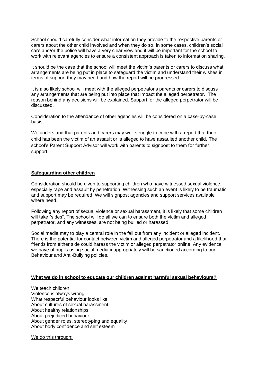School should carefully consider what information they provide to the respective parents or carers about the other child involved and when they do so. In some cases, children's social care and/or the police will have a very clear view and it will be important for the school to work with relevant agencies to ensure a consistent approach is taken to information sharing.

It should be the case that the school will meet the victim's parents or carers to discuss what arrangements are being put in place to safeguard the victim and understand their wishes in terms of support they may need and how the report will be progressed.

It is also likely school will meet with the alleged perpetrator's parents or carers to discuss any arrangements that are being put into place that impact the alleged perpetrator. The reason behind any decisions will be explained. Support for the alleged perpetrator will be discussed.

Consideration to the attendance of other agencies will be considered on a case-by-case basis.

We understand that parents and carers may well struggle to cope with a report that their child has been the victim of an assault or is alleged to have assaulted another child. The school's Parent Support Advisor will work with parents to signpost to them for further support.

#### **Safeguarding other children**

Consideration should be given to supporting children who have witnessed sexual violence, especially rape and assault by penetration. Witnessing such an event is likely to be traumatic and support may be required. We will signpost agencies and support services available where need.

Following any report of sexual violence or sexual harassment, it is likely that some children will take "sides". The school will do all we can to ensure both the victim and alleged perpetrator, and any witnesses, are not being bullied or harassed.

Social media may to play a central role in the fall out from any incident or alleged incident. There is the potential for contact between victim and alleged perpetrator and a likelihood that friends from either side could harass the victim or alleged perpetrator online. Any evidence we have of pupils using social media inappropriately will be sanctioned according to our Behaviour and Anti-Bullying policies.

## **What we do in school to educate our children against harmful sexual behaviours?**

We teach children: Violence is always wrong; What respectful behaviour looks like About cultures of sexual harassment About healthy relationships About prejudiced behaviour About gender roles, stereotyping and equality About body confidence and self esteem

We do this through: